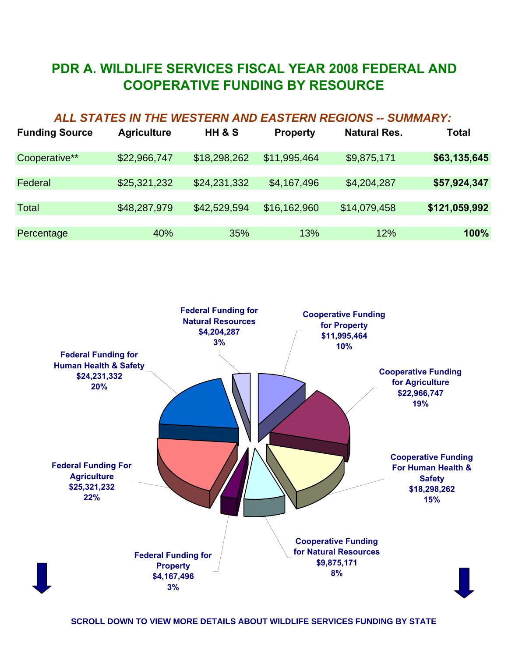## **PDR A. WILDLIFE SERVICES FISCAL YEAR 2008 FEDERAL AND COOPERATIVE FUNDING BY RESOURCE**

## *ALL STATES IN THE WESTERN AND EASTERN REGIONS -- SUMMARY:*

| <b>Funding Source</b> | <b>Agriculture</b> | <b>HH &amp; S</b> | <b>Property</b> | <b>Natural Res.</b> | Total         |
|-----------------------|--------------------|-------------------|-----------------|---------------------|---------------|
| Cooperative**         | \$22,966,747       | \$18,298,262      | \$11,995,464    | \$9,875,171         | \$63,135,645  |
| Federal               | \$25,321,232       | \$24,231,332      | \$4,167,496     | \$4,204,287         | \$57,924,347  |
| <b>Total</b>          | \$48,287,979       | \$42,529,594      | \$16,162,960    | \$14,079,458        | \$121,059,992 |
| Percentage            | 40%                | 35%               | 13%             | 12%                 | 100%          |

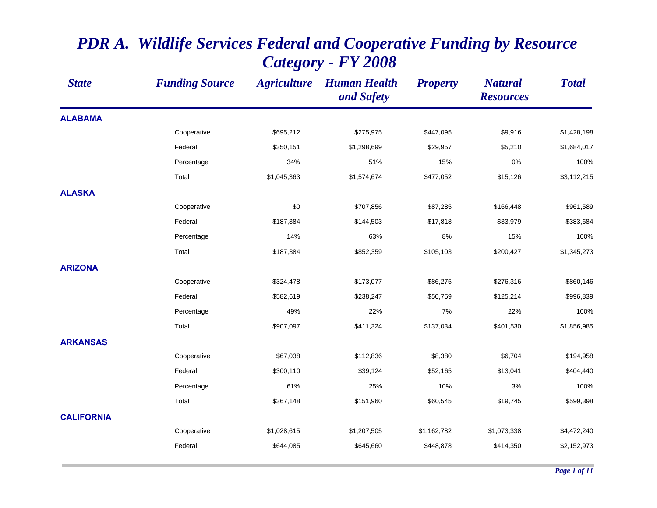| <b>State</b>      | <b>Funding Source</b> | <b>Agriculture</b> | <b>Human Health</b><br>and Safety | <b>Property</b> | <b>Natural</b><br><b>Resources</b> | <b>Total</b> |
|-------------------|-----------------------|--------------------|-----------------------------------|-----------------|------------------------------------|--------------|
| <b>ALABAMA</b>    |                       |                    |                                   |                 |                                    |              |
|                   | Cooperative           | \$695,212          | \$275,975                         | \$447,095       | \$9,916                            | \$1,428,198  |
|                   | Federal               | \$350,151          | \$1,298,699                       | \$29,957        | \$5,210                            | \$1,684,017  |
|                   | Percentage            | 34%                | 51%                               | 15%             | 0%                                 | 100%         |
|                   | Total                 | \$1,045,363        | \$1,574,674                       | \$477,052       | \$15,126                           | \$3,112,215  |
| <b>ALASKA</b>     |                       |                    |                                   |                 |                                    |              |
|                   | Cooperative           | \$0                | \$707,856                         | \$87,285        | \$166,448                          | \$961,589    |
|                   | Federal               | \$187,384          | \$144,503                         | \$17,818        | \$33,979                           | \$383,684    |
|                   | Percentage            | 14%                | 63%                               | 8%              | 15%                                | 100%         |
|                   | Total                 | \$187,384          | \$852,359                         | \$105,103       | \$200,427                          | \$1,345,273  |
| <b>ARIZONA</b>    |                       |                    |                                   |                 |                                    |              |
|                   | Cooperative           | \$324,478          | \$173,077                         | \$86,275        | \$276,316                          | \$860,146    |
|                   | Federal               | \$582,619          | \$238,247                         | \$50,759        | \$125,214                          | \$996,839    |
|                   | Percentage            | 49%                | 22%                               | 7%              | 22%                                | 100%         |
|                   | Total                 | \$907,097          | \$411,324                         | \$137,034       | \$401,530                          | \$1,856,985  |
| <b>ARKANSAS</b>   |                       |                    |                                   |                 |                                    |              |
|                   | Cooperative           | \$67,038           | \$112,836                         | \$8,380         | \$6,704                            | \$194,958    |
|                   | Federal               | \$300,110          | \$39,124                          | \$52,165        | \$13,041                           | \$404,440    |
|                   | Percentage            | 61%                | 25%                               | 10%             | 3%                                 | 100%         |
|                   | Total                 | \$367,148          | \$151,960                         | \$60,545        | \$19,745                           | \$599,398    |
| <b>CALIFORNIA</b> |                       |                    |                                   |                 |                                    |              |
|                   | Cooperative           | \$1,028,615        | \$1,207,505                       | \$1,162,782     | \$1,073,338                        | \$4,472,240  |
|                   | Federal               | \$644,085          | \$645,660                         | \$448,878       | \$414,350                          | \$2,152,973  |

## *PDR A. Wildlife Services Federal and Cooperative Funding by Resource Category - FY 2008*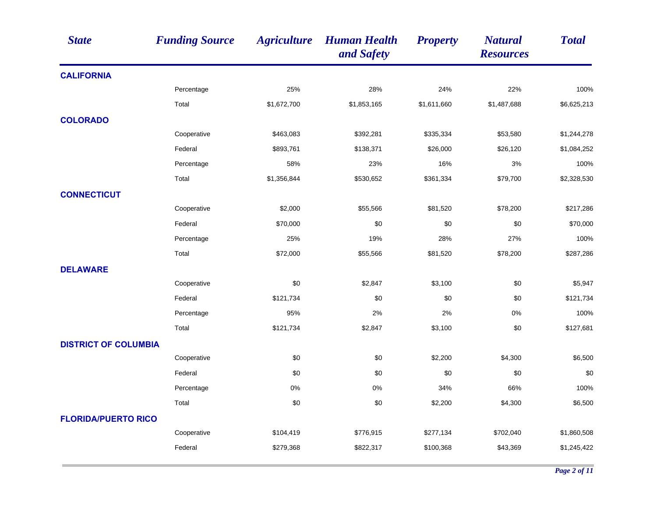| <b>State</b>                | <b>Funding Source</b> | <b>Agriculture</b> | <b>Human Health</b><br>and Safety | <b>Property</b> | <b>Natural</b><br><b>Resources</b> | <b>Total</b> |
|-----------------------------|-----------------------|--------------------|-----------------------------------|-----------------|------------------------------------|--------------|
| <b>CALIFORNIA</b>           |                       |                    |                                   |                 |                                    |              |
|                             | Percentage            | 25%                | 28%                               | 24%             | 22%                                | 100%         |
|                             | Total                 | \$1,672,700        | \$1,853,165                       | \$1,611,660     | \$1,487,688                        | \$6,625,213  |
| <b>COLORADO</b>             |                       |                    |                                   |                 |                                    |              |
|                             | Cooperative           | \$463,083          | \$392,281                         | \$335,334       | \$53,580                           | \$1,244,278  |
|                             | Federal               | \$893,761          | \$138,371                         | \$26,000        | \$26,120                           | \$1,084,252  |
|                             | Percentage            | 58%                | 23%                               | 16%             | 3%                                 | 100%         |
|                             | Total                 | \$1,356,844        | \$530,652                         | \$361,334       | \$79,700                           | \$2,328,530  |
| <b>CONNECTICUT</b>          |                       |                    |                                   |                 |                                    |              |
|                             | Cooperative           | \$2,000            | \$55,566                          | \$81,520        | \$78,200                           | \$217,286    |
|                             | Federal               | \$70,000           | \$0                               | \$0             | \$0                                | \$70,000     |
|                             | Percentage            | 25%                | 19%                               | 28%             | 27%                                | 100%         |
|                             | Total                 | \$72,000           | \$55,566                          | \$81,520        | \$78,200                           | \$287,286    |
| <b>DELAWARE</b>             |                       |                    |                                   |                 |                                    |              |
|                             | Cooperative           | \$0                | \$2,847                           | \$3,100         | \$0                                | \$5,947      |
|                             | Federal               | \$121,734          | \$0                               | \$0             | \$0                                | \$121,734    |
|                             | Percentage            | 95%                | 2%                                | 2%              | 0%                                 | 100%         |
|                             | Total                 | \$121,734          | \$2,847                           | \$3,100         | \$0                                | \$127,681    |
| <b>DISTRICT OF COLUMBIA</b> |                       |                    |                                   |                 |                                    |              |
|                             | Cooperative           | \$0                | \$0                               | \$2,200         | \$4,300                            | \$6,500      |
|                             | Federal               | \$0                | \$0                               | \$0             | \$0                                | \$0          |
|                             | Percentage            | 0%                 | 0%                                | 34%             | 66%                                | 100%         |
|                             | Total                 | \$0                | \$0                               | \$2,200         | \$4,300                            | \$6,500      |
| <b>FLORIDA/PUERTO RICO</b>  |                       |                    |                                   |                 |                                    |              |
|                             | Cooperative           | \$104,419          | \$776,915                         | \$277,134       | \$702,040                          | \$1,860,508  |
|                             | Federal               | \$279,368          | \$822,317                         | \$100,368       | \$43,369                           | \$1,245,422  |
|                             |                       |                    |                                   |                 |                                    |              |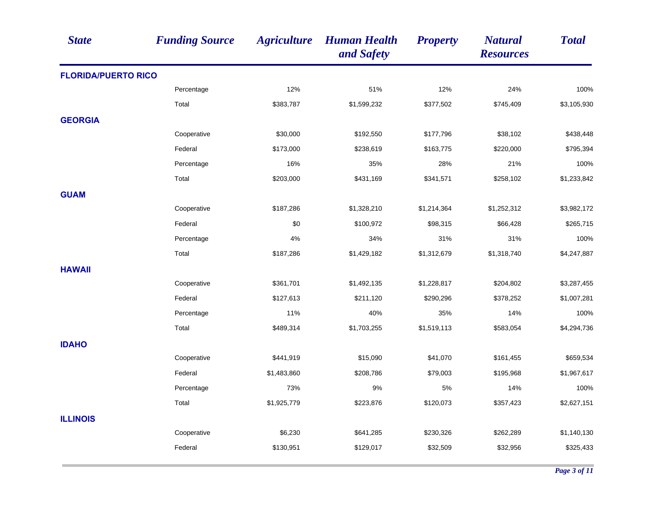| <b>State</b>               | <b>Funding Source</b> | <b>Agriculture</b> | <b>Human Health</b><br>and Safety | <b>Property</b> | <b>Natural</b><br><b>Resources</b> | <b>Total</b> |
|----------------------------|-----------------------|--------------------|-----------------------------------|-----------------|------------------------------------|--------------|
| <b>FLORIDA/PUERTO RICO</b> |                       |                    |                                   |                 |                                    |              |
|                            | Percentage            | 12%                | 51%                               | 12%             | 24%                                | 100%         |
|                            | Total                 | \$383,787          | \$1,599,232                       | \$377,502       | \$745,409                          | \$3,105,930  |
| <b>GEORGIA</b>             |                       |                    |                                   |                 |                                    |              |
|                            | Cooperative           | \$30,000           | \$192,550                         | \$177,796       | \$38,102                           | \$438,448    |
|                            | Federal               | \$173,000          | \$238,619                         | \$163,775       | \$220,000                          | \$795,394    |
|                            | Percentage            | 16%                | 35%                               | 28%             | 21%                                | 100%         |
|                            | Total                 | \$203,000          | \$431,169                         | \$341,571       | \$258,102                          | \$1,233,842  |
| <b>GUAM</b>                |                       |                    |                                   |                 |                                    |              |
|                            | Cooperative           | \$187,286          | \$1,328,210                       | \$1,214,364     | \$1,252,312                        | \$3,982,172  |
|                            | Federal               | \$0                | \$100,972                         | \$98,315        | \$66,428                           | \$265,715    |
|                            | Percentage            | 4%                 | 34%                               | 31%             | 31%                                | 100%         |
|                            | Total                 | \$187,286          | \$1,429,182                       | \$1,312,679     | \$1,318,740                        | \$4,247,887  |
| <b>HAWAII</b>              |                       |                    |                                   |                 |                                    |              |
|                            | Cooperative           | \$361,701          | \$1,492,135                       | \$1,228,817     | \$204,802                          | \$3,287,455  |
|                            | Federal               | \$127,613          | \$211,120                         | \$290,296       | \$378,252                          | \$1,007,281  |
|                            | Percentage            | 11%                | 40%                               | 35%             | 14%                                | 100%         |
|                            | Total                 | \$489,314          | \$1,703,255                       | \$1,519,113     | \$583,054                          | \$4,294,736  |
| <b>IDAHO</b>               |                       |                    |                                   |                 |                                    |              |
|                            | Cooperative           | \$441,919          | \$15,090                          | \$41,070        | \$161,455                          | \$659,534    |
|                            | Federal               | \$1,483,860        | \$208,786                         | \$79,003        | \$195,968                          | \$1,967,617  |
|                            | Percentage            | 73%                | 9%                                | 5%              | 14%                                | 100%         |
|                            | Total                 | \$1,925,779        | \$223,876                         | \$120,073       | \$357,423                          | \$2,627,151  |
| <b>ILLINOIS</b>            |                       |                    |                                   |                 |                                    |              |
|                            | Cooperative           | \$6,230            | \$641,285                         | \$230,326       | \$262,289                          | \$1,140,130  |
|                            | Federal               | \$130,951          | \$129,017                         | \$32,509        | \$32,956                           | \$325,433    |
|                            |                       |                    |                                   |                 |                                    |              |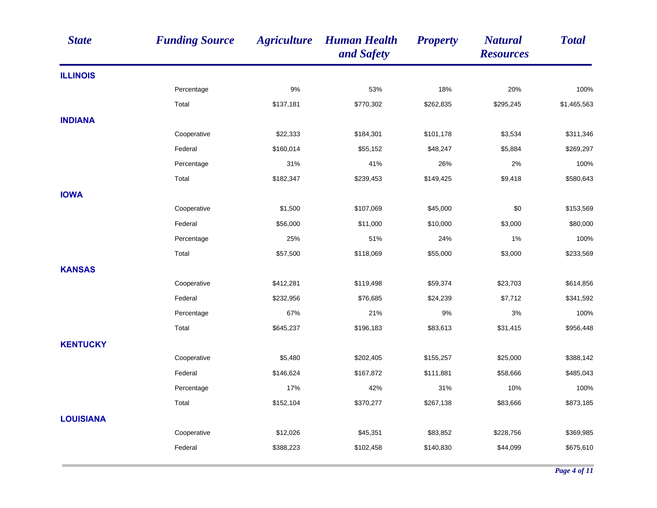| <b>State</b>     | <b>Funding Source</b> | <b>Agriculture</b> | <b>Human Health</b><br>and Safety | <b>Property</b> | <b>Natural</b><br><b>Resources</b> | <b>Total</b> |
|------------------|-----------------------|--------------------|-----------------------------------|-----------------|------------------------------------|--------------|
| <b>ILLINOIS</b>  |                       |                    |                                   |                 |                                    |              |
|                  | Percentage            | $9\%$              | 53%                               | 18%             | 20%                                | 100%         |
|                  | Total                 | \$137,181          | \$770,302                         | \$262,835       | \$295,245                          | \$1,465,563  |
| <b>INDIANA</b>   |                       |                    |                                   |                 |                                    |              |
|                  | Cooperative           | \$22,333           | \$184,301                         | \$101,178       | \$3,534                            | \$311,346    |
|                  | Federal               | \$160,014          | \$55,152                          | \$48,247        | \$5,884                            | \$269,297    |
|                  | Percentage            | 31%                | 41%                               | 26%             | 2%                                 | 100%         |
|                  | Total                 | \$182,347          | \$239,453                         | \$149,425       | \$9,418                            | \$580,643    |
| <b>IOWA</b>      |                       |                    |                                   |                 |                                    |              |
|                  | Cooperative           | \$1,500            | \$107,069                         | \$45,000        | \$0                                | \$153,569    |
|                  | Federal               | \$56,000           | \$11,000                          | \$10,000        | \$3,000                            | \$80,000     |
|                  | Percentage            | 25%                | 51%                               | 24%             | 1%                                 | 100%         |
|                  | Total                 | \$57,500           | \$118,069                         | \$55,000        | \$3,000                            | \$233,569    |
| <b>KANSAS</b>    |                       |                    |                                   |                 |                                    |              |
|                  | Cooperative           | \$412,281          | \$119,498                         | \$59,374        | \$23,703                           | \$614,856    |
|                  | Federal               | \$232,956          | \$76,685                          | \$24,239        | \$7,712                            | \$341,592    |
|                  | Percentage            | 67%                | 21%                               | 9%              | 3%                                 | 100%         |
|                  | Total                 | \$645,237          | \$196,183                         | \$83,613        | \$31,415                           | \$956,448    |
| <b>KENTUCKY</b>  |                       |                    |                                   |                 |                                    |              |
|                  | Cooperative           | \$5,480            | \$202,405                         | \$155,257       | \$25,000                           | \$388,142    |
|                  | Federal               | \$146,624          | \$167,872                         | \$111,881       | \$58,666                           | \$485,043    |
|                  | Percentage            | 17%                | 42%                               | 31%             | 10%                                | 100%         |
|                  | Total                 | \$152,104          | \$370,277                         | \$267,138       | \$83,666                           | \$873,185    |
| <b>LOUISIANA</b> |                       |                    |                                   |                 |                                    |              |
|                  | Cooperative           | \$12,026           | \$45,351                          | \$83,852        | \$228,756                          | \$369,985    |
|                  | Federal               | \$388,223          | \$102,458                         | \$140,830       | \$44,099                           | \$675,610    |
|                  |                       |                    |                                   |                 |                                    |              |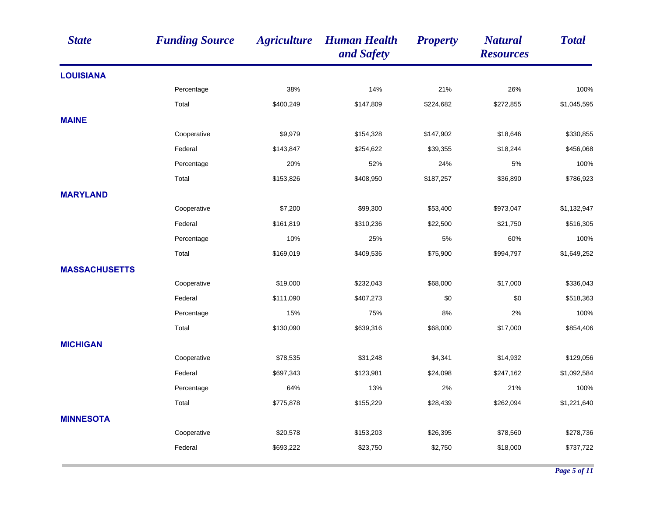| <b>State</b>         | <b>Funding Source</b> | <b>Agriculture</b> | <b>Human Health</b><br>and Safety | <b>Property</b> | <b>Natural</b><br><b>Resources</b> | <b>Total</b> |
|----------------------|-----------------------|--------------------|-----------------------------------|-----------------|------------------------------------|--------------|
| <b>LOUISIANA</b>     |                       |                    |                                   |                 |                                    |              |
|                      | Percentage            | 38%                | 14%                               | 21%             | 26%                                | 100%         |
|                      | Total                 | \$400,249          | \$147,809                         | \$224,682       | \$272,855                          | \$1,045,595  |
| <b>MAINE</b>         |                       |                    |                                   |                 |                                    |              |
|                      | Cooperative           | \$9,979            | \$154,328                         | \$147,902       | \$18,646                           | \$330,855    |
|                      | Federal               | \$143,847          | \$254,622                         | \$39,355        | \$18,244                           | \$456,068    |
|                      | Percentage            | 20%                | 52%                               | 24%             | 5%                                 | 100%         |
|                      | Total                 | \$153,826          | \$408,950                         | \$187,257       | \$36,890                           | \$786,923    |
| <b>MARYLAND</b>      |                       |                    |                                   |                 |                                    |              |
|                      | Cooperative           | \$7,200            | \$99,300                          | \$53,400        | \$973,047                          | \$1,132,947  |
|                      | Federal               | \$161,819          | \$310,236                         | \$22,500        | \$21,750                           | \$516,305    |
|                      | Percentage            | 10%                | 25%                               | 5%              | 60%                                | 100%         |
|                      | Total                 | \$169,019          | \$409,536                         | \$75,900        | \$994,797                          | \$1,649,252  |
| <b>MASSACHUSETTS</b> |                       |                    |                                   |                 |                                    |              |
|                      | Cooperative           | \$19,000           | \$232,043                         | \$68,000        | \$17,000                           | \$336,043    |
|                      | Federal               | \$111,090          | \$407,273                         | \$0             | \$0                                | \$518,363    |
|                      | Percentage            | 15%                | 75%                               | 8%              | 2%                                 | 100%         |
|                      | Total                 | \$130,090          | \$639,316                         | \$68,000        | \$17,000                           | \$854,406    |
| <b>MICHIGAN</b>      |                       |                    |                                   |                 |                                    |              |
|                      | Cooperative           | \$78,535           | \$31,248                          | \$4,341         | \$14,932                           | \$129,056    |
|                      | Federal               | \$697,343          | \$123,981                         | \$24,098        | \$247,162                          | \$1,092,584  |
|                      | Percentage            | 64%                | 13%                               | 2%              | 21%                                | 100%         |
|                      | Total                 | \$775,878          | \$155,229                         | \$28,439        | \$262,094                          | \$1,221,640  |
| <b>MINNESOTA</b>     |                       |                    |                                   |                 |                                    |              |
|                      | Cooperative           | \$20,578           | \$153,203                         | \$26,395        | \$78,560                           | \$278,736    |
|                      | Federal               | \$693,222          | \$23,750                          | \$2,750         | \$18,000                           | \$737,722    |
|                      |                       |                    |                                   |                 |                                    |              |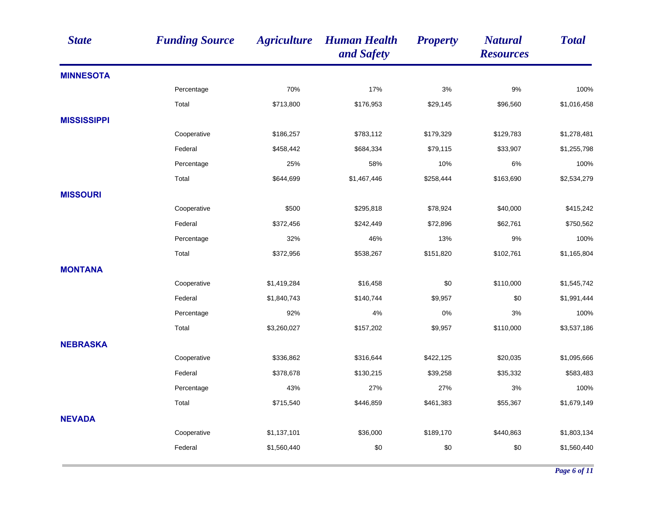| <b>State</b>       | <b>Funding Source</b> | <b>Agriculture</b> | <b>Human Health</b><br>and Safety | <b>Property</b> | <b>Natural</b><br><b>Resources</b> | <b>Total</b> |
|--------------------|-----------------------|--------------------|-----------------------------------|-----------------|------------------------------------|--------------|
| <b>MINNESOTA</b>   |                       |                    |                                   |                 |                                    |              |
|                    | Percentage            | 70%                | 17%                               | 3%              | 9%                                 | 100%         |
|                    | Total                 | \$713,800          | \$176,953                         | \$29,145        | \$96,560                           | \$1,016,458  |
| <b>MISSISSIPPI</b> |                       |                    |                                   |                 |                                    |              |
|                    | Cooperative           | \$186,257          | \$783,112                         | \$179,329       | \$129,783                          | \$1,278,481  |
|                    | Federal               | \$458,442          | \$684,334                         | \$79,115        | \$33,907                           | \$1,255,798  |
|                    | Percentage            | 25%                | 58%                               | 10%             | 6%                                 | 100%         |
|                    | Total                 | \$644,699          | \$1,467,446                       | \$258,444       | \$163,690                          | \$2,534,279  |
| <b>MISSOURI</b>    |                       |                    |                                   |                 |                                    |              |
|                    | Cooperative           | \$500              | \$295,818                         | \$78,924        | \$40,000                           | \$415,242    |
|                    | Federal               | \$372,456          | \$242,449                         | \$72,896        | \$62,761                           | \$750,562    |
|                    | Percentage            | 32%                | 46%                               | 13%             | 9%                                 | 100%         |
|                    | Total                 | \$372,956          | \$538,267                         | \$151,820       | \$102,761                          | \$1,165,804  |
| <b>MONTANA</b>     |                       |                    |                                   |                 |                                    |              |
|                    | Cooperative           | \$1,419,284        | \$16,458                          | \$0             | \$110,000                          | \$1,545,742  |
|                    | Federal               | \$1,840,743        | \$140,744                         | \$9,957         | \$0                                | \$1,991,444  |
|                    | Percentage            | 92%                | 4%                                | 0%              | 3%                                 | 100%         |
|                    | Total                 | \$3,260,027        | \$157,202                         | \$9,957         | \$110,000                          | \$3,537,186  |
| <b>NEBRASKA</b>    |                       |                    |                                   |                 |                                    |              |
|                    | Cooperative           | \$336,862          | \$316,644                         | \$422,125       | \$20,035                           | \$1,095,666  |
|                    | Federal               | \$378,678          | \$130,215                         | \$39,258        | \$35,332                           | \$583,483    |
|                    | Percentage            | 43%                | 27%                               | 27%             | 3%                                 | 100%         |
|                    | Total                 | \$715,540          | \$446,859                         | \$461,383       | \$55,367                           | \$1,679,149  |
| <b>NEVADA</b>      |                       |                    |                                   |                 |                                    |              |
|                    | Cooperative           | \$1,137,101        | \$36,000                          | \$189,170       | \$440,863                          | \$1,803,134  |
|                    | Federal               | \$1,560,440        | \$0                               | \$0             | \$0                                | \$1,560,440  |
|                    |                       |                    |                                   |                 |                                    |              |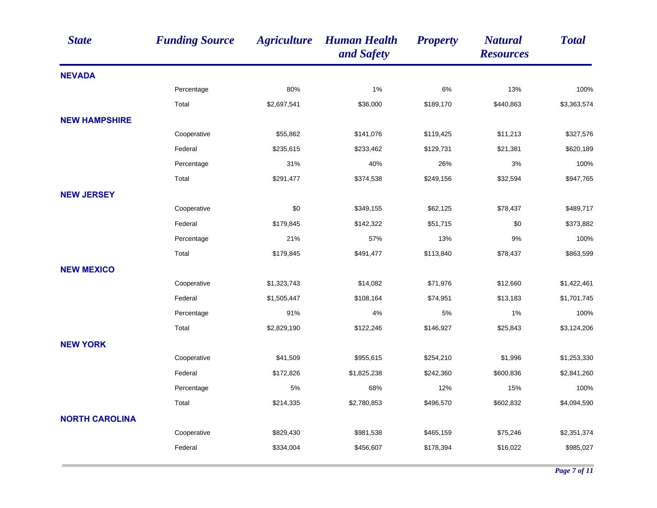| <b>State</b>          | <b>Funding Source</b> | <b>Agriculture</b> | <b>Human Health</b><br>and Safety | <b>Property</b> | <b>Natural</b><br><b>Resources</b> | <b>Total</b> |
|-----------------------|-----------------------|--------------------|-----------------------------------|-----------------|------------------------------------|--------------|
| <b>NEVADA</b>         |                       |                    |                                   |                 |                                    |              |
|                       | Percentage            | 80%                | 1%                                | 6%              | 13%                                | 100%         |
|                       | Total                 | \$2,697,541        | \$36,000                          | \$189,170       | \$440,863                          | \$3,363,574  |
| <b>NEW HAMPSHIRE</b>  |                       |                    |                                   |                 |                                    |              |
|                       | Cooperative           | \$55,862           | \$141,076                         | \$119,425       | \$11,213                           | \$327,576    |
|                       | Federal               | \$235,615          | \$233,462                         | \$129,731       | \$21,381                           | \$620,189    |
|                       | Percentage            | 31%                | 40%                               | 26%             | 3%                                 | 100%         |
|                       | Total                 | \$291,477          | \$374,538                         | \$249,156       | \$32,594                           | \$947,765    |
| <b>NEW JERSEY</b>     |                       |                    |                                   |                 |                                    |              |
|                       | Cooperative           | \$0                | \$349,155                         | \$62,125        | \$78,437                           | \$489,717    |
|                       | Federal               | \$179,845          | \$142,322                         | \$51,715        | \$0                                | \$373,882    |
|                       | Percentage            | 21%                | 57%                               | 13%             | 9%                                 | 100%         |
|                       | Total                 | \$179,845          | \$491,477                         | \$113,840       | \$78,437                           | \$863,599    |
| <b>NEW MEXICO</b>     |                       |                    |                                   |                 |                                    |              |
|                       | Cooperative           | \$1,323,743        | \$14,082                          | \$71,976        | \$12,660                           | \$1,422,461  |
|                       | Federal               | \$1,505,447        | \$108,164                         | \$74,951        | \$13,183                           | \$1,701,745  |
|                       | Percentage            | 91%                | 4%                                | 5%              | 1%                                 | 100%         |
|                       | Total                 | \$2,829,190        | \$122,246                         | \$146,927       | \$25,843                           | \$3,124,206  |
| <b>NEW YORK</b>       |                       |                    |                                   |                 |                                    |              |
|                       | Cooperative           | \$41,509           | \$955,615                         | \$254,210       | \$1,996                            | \$1,253,330  |
|                       | Federal               | \$172,826          | \$1,825,238                       | \$242,360       | \$600,836                          | \$2,841,260  |
|                       | Percentage            | 5%                 | 68%                               | 12%             | 15%                                | 100%         |
|                       | Total                 | \$214,335          | \$2,780,853                       | \$496,570       | \$602,832                          | \$4,094,590  |
| <b>NORTH CAROLINA</b> |                       |                    |                                   |                 |                                    |              |
|                       | Cooperative           | \$829,430          | \$981,538                         | \$465,159       | \$75,246                           | \$2,351,374  |
|                       | Federal               | \$334,004          | \$456,607                         | \$178,394       | \$16,022                           | \$985,027    |
|                       |                       |                    |                                   |                 |                                    |              |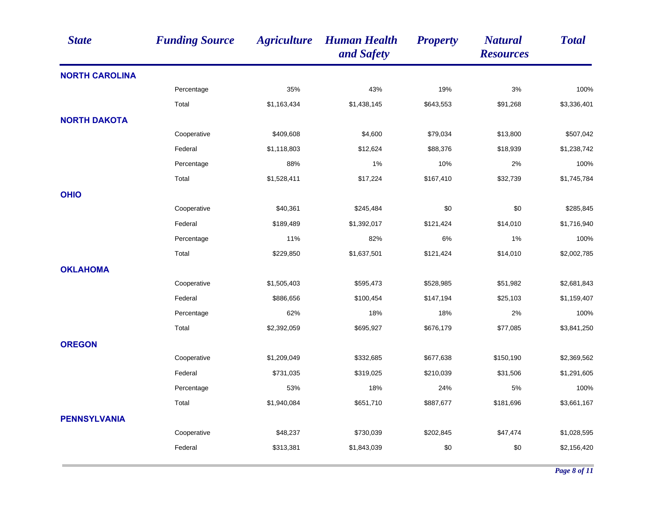| <b>State</b>          | <b>Funding Source</b> | <b>Agriculture</b> | <b>Human Health</b><br>and Safety | <b>Property</b> | <b>Natural</b><br><b>Resources</b> | <b>Total</b> |
|-----------------------|-----------------------|--------------------|-----------------------------------|-----------------|------------------------------------|--------------|
| <b>NORTH CAROLINA</b> |                       |                    |                                   |                 |                                    |              |
|                       | Percentage            | 35%                | 43%                               | 19%             | 3%                                 | 100%         |
|                       | Total                 | \$1,163,434        | \$1,438,145                       | \$643,553       | \$91,268                           | \$3,336,401  |
| <b>NORTH DAKOTA</b>   |                       |                    |                                   |                 |                                    |              |
|                       | Cooperative           | \$409,608          | \$4,600                           | \$79,034        | \$13,800                           | \$507,042    |
|                       | Federal               | \$1,118,803        | \$12,624                          | \$88,376        | \$18,939                           | \$1,238,742  |
|                       | Percentage            | 88%                | 1%                                | 10%             | 2%                                 | 100%         |
|                       | Total                 | \$1,528,411        | \$17,224                          | \$167,410       | \$32,739                           | \$1,745,784  |
| <b>OHIO</b>           |                       |                    |                                   |                 |                                    |              |
|                       | Cooperative           | \$40,361           | \$245,484                         | \$0             | \$0                                | \$285,845    |
|                       | Federal               | \$189,489          | \$1,392,017                       | \$121,424       | \$14,010                           | \$1,716,940  |
|                       | Percentage            | 11%                | 82%                               | 6%              | 1%                                 | 100%         |
|                       | Total                 | \$229,850          | \$1,637,501                       | \$121,424       | \$14,010                           | \$2,002,785  |
| <b>OKLAHOMA</b>       |                       |                    |                                   |                 |                                    |              |
|                       | Cooperative           | \$1,505,403        | \$595,473                         | \$528,985       | \$51,982                           | \$2,681,843  |
|                       | Federal               | \$886,656          | \$100,454                         | \$147,194       | \$25,103                           | \$1,159,407  |
|                       | Percentage            | 62%                | 18%                               | 18%             | 2%                                 | 100%         |
|                       | Total                 | \$2,392,059        | \$695,927                         | \$676,179       | \$77,085                           | \$3,841,250  |
| <b>OREGON</b>         |                       |                    |                                   |                 |                                    |              |
|                       | Cooperative           | \$1,209,049        | \$332,685                         | \$677,638       | \$150,190                          | \$2,369,562  |
|                       | Federal               | \$731,035          | \$319,025                         | \$210,039       | \$31,506                           | \$1,291,605  |
|                       | Percentage            | 53%                | 18%                               | 24%             | 5%                                 | 100%         |
|                       | Total                 | \$1,940,084        | \$651,710                         | \$887,677       | \$181,696                          | \$3,661,167  |
| <b>PENNSYLVANIA</b>   |                       |                    |                                   |                 |                                    |              |
|                       | Cooperative           | \$48,237           | \$730,039                         | \$202,845       | \$47,474                           | \$1,028,595  |
|                       | Federal               | \$313,381          | \$1,843,039                       | \$0             | \$0                                | \$2,156,420  |
|                       |                       |                    |                                   |                 |                                    |              |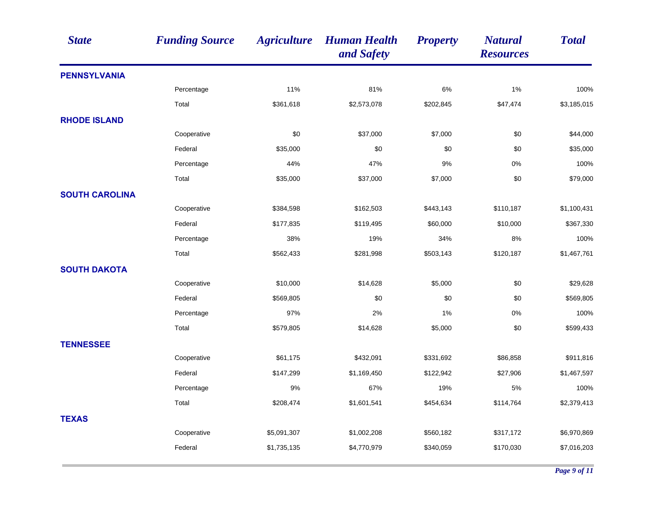| <b>State</b>          | <b>Funding Source</b> | <b>Agriculture</b> | <b>Human Health</b><br>and Safety | <b>Property</b> | <b>Natural</b><br><b>Resources</b> | <b>Total</b> |
|-----------------------|-----------------------|--------------------|-----------------------------------|-----------------|------------------------------------|--------------|
| <b>PENNSYLVANIA</b>   |                       |                    |                                   |                 |                                    |              |
|                       | Percentage            | 11%                | 81%                               | $6\%$           | 1%                                 | 100%         |
|                       | Total                 | \$361,618          | \$2,573,078                       | \$202,845       | \$47,474                           | \$3,185,015  |
| <b>RHODE ISLAND</b>   |                       |                    |                                   |                 |                                    |              |
|                       | Cooperative           | \$0                | \$37,000                          | \$7,000         | \$0                                | \$44,000     |
|                       | Federal               | \$35,000           | \$0                               | \$0             | \$0                                | \$35,000     |
|                       | Percentage            | 44%                | 47%                               | 9%              | 0%                                 | 100%         |
|                       | Total                 | \$35,000           | \$37,000                          | \$7,000         | \$0                                | \$79,000     |
| <b>SOUTH CAROLINA</b> |                       |                    |                                   |                 |                                    |              |
|                       | Cooperative           | \$384,598          | \$162,503                         | \$443,143       | \$110,187                          | \$1,100,431  |
|                       | Federal               | \$177,835          | \$119,495                         | \$60,000        | \$10,000                           | \$367,330    |
|                       | Percentage            | 38%                | 19%                               | 34%             | 8%                                 | 100%         |
|                       | Total                 | \$562,433          | \$281,998                         | \$503,143       | \$120,187                          | \$1,467,761  |
| <b>SOUTH DAKOTA</b>   |                       |                    |                                   |                 |                                    |              |
|                       | Cooperative           | \$10,000           | \$14,628                          | \$5,000         | \$0                                | \$29,628     |
|                       | Federal               | \$569,805          | \$0                               | \$0             | \$0                                | \$569,805    |
|                       | Percentage            | 97%                | 2%                                | 1%              | 0%                                 | 100%         |
|                       | Total                 | \$579,805          | \$14,628                          | \$5,000         | \$0                                | \$599,433    |
| <b>TENNESSEE</b>      |                       |                    |                                   |                 |                                    |              |
|                       | Cooperative           | \$61,175           | \$432,091                         | \$331,692       | \$86,858                           | \$911,816    |
|                       | Federal               | \$147,299          | \$1,169,450                       | \$122,942       | \$27,906                           | \$1,467,597  |
|                       | Percentage            | 9%                 | 67%                               | 19%             | 5%                                 | 100%         |
|                       | Total                 | \$208,474          | \$1,601,541                       | \$454,634       | \$114,764                          | \$2,379,413  |
| <b>TEXAS</b>          |                       |                    |                                   |                 |                                    |              |
|                       | Cooperative           | \$5,091,307        | \$1,002,208                       | \$560,182       | \$317,172                          | \$6,970,869  |
|                       | Federal               | \$1,735,135        | \$4,770,979                       | \$340,059       | \$170,030                          | \$7,016,203  |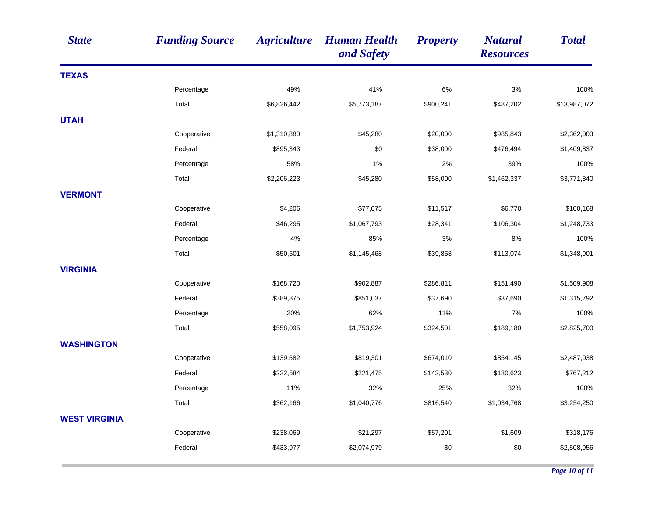| <b>State</b>         | <b>Funding Source</b> | <b>Agriculture</b> | <b>Human Health</b><br>and Safety | <b>Property</b> | <b>Natural</b><br><b>Resources</b> | <b>Total</b> |
|----------------------|-----------------------|--------------------|-----------------------------------|-----------------|------------------------------------|--------------|
| <b>TEXAS</b>         |                       |                    |                                   |                 |                                    |              |
|                      | Percentage            | 49%                | 41%                               | 6%              | 3%                                 | 100%         |
|                      | Total                 | \$6,826,442        | \$5,773,187                       | \$900,241       | \$487,202                          | \$13,987,072 |
| <b>UTAH</b>          |                       |                    |                                   |                 |                                    |              |
|                      | Cooperative           | \$1,310,880        | \$45,280                          | \$20,000        | \$985,843                          | \$2,362,003  |
|                      | Federal               | \$895,343          | \$0                               | \$38,000        | \$476,494                          | \$1,409,837  |
|                      | Percentage            | 58%                | 1%                                | 2%              | 39%                                | 100%         |
|                      | Total                 | \$2,206,223        | \$45,280                          | \$58,000        | \$1,462,337                        | \$3,771,840  |
| <b>VERMONT</b>       |                       |                    |                                   |                 |                                    |              |
|                      | Cooperative           | \$4,206            | \$77,675                          | \$11,517        | \$6,770                            | \$100,168    |
|                      | Federal               | \$46,295           | \$1,067,793                       | \$28,341        | \$106,304                          | \$1,248,733  |
|                      | Percentage            | 4%                 | 85%                               | 3%              | 8%                                 | 100%         |
|                      | Total                 | \$50,501           | \$1,145,468                       | \$39,858        | \$113,074                          | \$1,348,901  |
| <b>VIRGINIA</b>      |                       |                    |                                   |                 |                                    |              |
|                      | Cooperative           | \$168,720          | \$902,887                         | \$286,811       | \$151,490                          | \$1,509,908  |
|                      | Federal               | \$389,375          | \$851,037                         | \$37,690        | \$37,690                           | \$1,315,792  |
|                      | Percentage            | 20%                | 62%                               | 11%             | 7%                                 | 100%         |
|                      | Total                 | \$558,095          | \$1,753,924                       | \$324,501       | \$189,180                          | \$2,825,700  |
| <b>WASHINGTON</b>    |                       |                    |                                   |                 |                                    |              |
|                      | Cooperative           | \$139,582          | \$819,301                         | \$674,010       | \$854,145                          | \$2,487,038  |
|                      | Federal               | \$222,584          | \$221,475                         | \$142,530       | \$180,623                          | \$767,212    |
|                      | Percentage            | 11%                | 32%                               | 25%             | 32%                                | 100%         |
|                      | Total                 | \$362,166          | \$1,040,776                       | \$816,540       | \$1,034,768                        | \$3,254,250  |
| <b>WEST VIRGINIA</b> |                       |                    |                                   |                 |                                    |              |
|                      | Cooperative           | \$238,069          | \$21,297                          | \$57,201        | \$1,609                            | \$318,176    |
|                      | Federal               | \$433,977          | \$2,074,979                       | \$0             | \$0                                | \$2,508,956  |
|                      |                       |                    |                                   |                 |                                    |              |